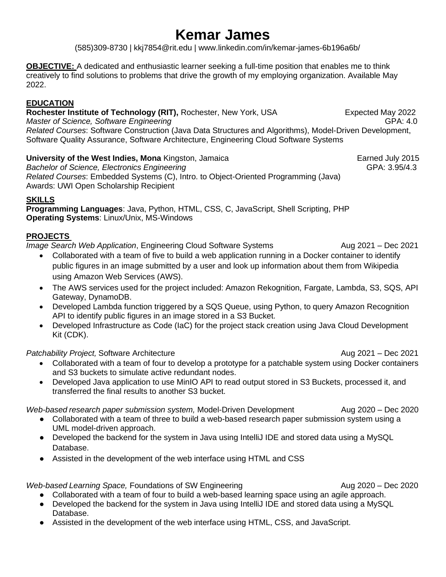# **Kemar James**

(585)309-8730 | kkj7854@rit.edu | www.linkedin.com/in/kemar-james-6b196a6b/

**OBJECTIVE:** A dedicated and enthusiastic learner seeking a full-time position that enables me to think creatively to find solutions to problems that drive the growth of my employing organization. Available May 2022.

#### **EDUCATION**

**Rochester Institute of Technology (RIT), Rochester, New York, USA Expected May 2022** *Master of Science, Software Engineering* **GPA: 4.0** CPA: 4.0 *Related Courses*: Software Construction (Java Data Structures and Algorithms), Model-Driven Development, Software Quality Assurance, Software Architecture, Engineering Cloud Software Systems

#### **University of the West Indies, Mona** Kingston, Jamaica **Earned July 2015** Earned July 2015

*Bachelor of Science, Electronics Engineering* **GPA: 3.95/4.3** *Related Courses*: Embedded Systems (C), Intro. to Object-Oriented Programming (Java) Awards: UWI Open Scholarship Recipient

## **SKILLS**

**Programming Languages**: Java, Python, HTML, CSS, C, JavaScript, Shell Scripting, PHP **Operating Systems**: Linux/Unix, MS-Windows

#### **PROJECTS**

*Image* Search Web Application, Engineering Cloud Software Systems **Aug 2021** – Dec 2021

- Collaborated with a team of five to build a web application running in a Docker container to identify public figures in an image submitted by a user and look up information about them from Wikipedia using Amazon Web Services (AWS).
- The AWS services used for the project included: Amazon Rekognition, Fargate, Lambda, S3, SQS, API Gateway, DynamoDB.
- Developed Lambda function triggered by a SQS Queue, using Python, to query Amazon Recognition API to identify public figures in an image stored in a S3 Bucket.
- Developed Infrastructure as Code (IaC) for the project stack creation using Java Cloud Development Kit (CDK).

## *Patchability Project,* Software Architecture Aug 2021 – Dec 2021

- Collaborated with a team of four to develop a prototype for a patchable system using Docker containers and S3 buckets to simulate active redundant nodes.
- Developed Java application to use MinIO API to read output stored in S3 Buckets, processed it, and transferred the final results to another S3 bucket.

## *Web-based research paper submission system,* Model-Driven Development **Aug 2020** – Dec 2020

- Collaborated with a team of three to build a web-based research paper submission system using a UML model-driven approach.
- Developed the backend for the system in Java using IntelliJ IDE and stored data using a MySQL Database.
- Assisted in the development of the web interface using HTML and CSS

*Web-based Learning Space, Foundations of SW Engineering* Aug 2020 – Dec 2020 – Dec 2020

- Collaborated with a team of four to build a web-based learning space using an agile approach.
- Developed the backend for the system in Java using IntelliJ IDE and stored data using a MySQL Database.
- Assisted in the development of the web interface using HTML, CSS, and JavaScript.